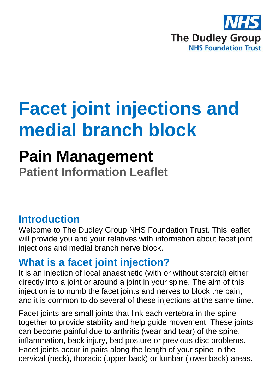

# **Facet joint injections and medial branch block**

## **Pain Management**

**Patient Information Leaflet**

## **Introduction**

Welcome to The Dudley Group NHS Foundation Trust. This leaflet will provide you and your relatives with information about facet joint injections and medial branch nerve block.

## **What is a facet joint injection?**

It is an injection of local anaesthetic (with or without steroid) either directly into a joint or around a joint in your spine. The aim of this injection is to numb the facet joints and nerves to block the pain, and it is common to do several of these injections at the same time.

Facet joints are small joints that link each vertebra in the spine together to provide stability and help guide movement. These joints can become painful due to arthritis (wear and tear) of the spine, inflammation, back injury, bad posture or previous disc problems. Facet joints occur in pairs along the length of your spine in the cervical (neck), thoracic (upper back) or lumbar (lower back) areas.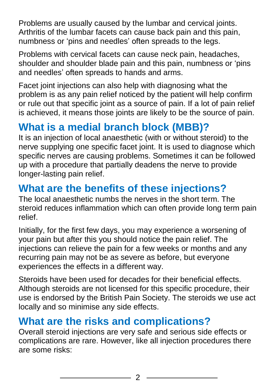Problems are usually caused by the lumbar and cervical joints. Arthritis of the lumbar facets can cause back pain and this pain, numbness or 'pins and needles' often spreads to the legs.

Problems with cervical facets can cause neck pain, headaches, shoulder and shoulder blade pain and this pain, numbness or 'pins and needles' often spreads to hands and arms.

Facet joint injections can also help with diagnosing what the problem is as any pain relief noticed by the patient will help confirm or rule out that specific joint as a source of pain. If a lot of pain relief is achieved, it means those joints are likely to be the source of pain.

## **What is a medial branch block (MBB)?**

It is an injection of local anaesthetic (with or without steroid) to the nerve supplying one specific facet joint. It is used to diagnose which specific nerves are causing problems. Sometimes it can be followed up with a procedure that partially deadens the nerve to provide longer-lasting pain relief.

## **What are the benefits of these injections?**

The local anaesthetic numbs the nerves in the short term. The steroid reduces inflammation which can often provide long term pain relief.

Initially, for the first few days, you may experience a worsening of your pain but after this you should notice the pain relief. The injections can relieve the pain for a few weeks or months and any recurring pain may not be as severe as before, but everyone experiences the effects in a different way.

Steroids have been used for decades for their beneficial effects. Although steroids are not licensed for this specific procedure, their use is endorsed by the British Pain Society. The steroids we use act locally and so minimise any side effects.

## **What are the risks and complications?**

Overall steroid injections are very safe and serious side effects or complications are rare. However, like all injection procedures there are some risks: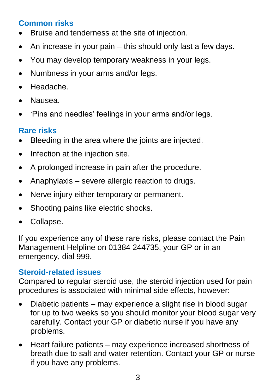#### **Common risks**

- Bruise and tenderness at the site of injection.
- $\bullet$  An increase in your pain this should only last a few days.
- You may develop temporary weakness in your legs.
- Numbness in your arms and/or legs.
- Headache.
- Nausea.
- 'Pins and needles' feelings in your arms and/or legs.

#### **Rare risks**

- Bleeding in the area where the joints are injected.
- Infection at the injection site.
- A prolonged increase in pain after the procedure.
- Anaphylaxis severe allergic reaction to drugs.
- Nerve injury either temporary or permanent.
- Shooting pains like electric shocks.
- Collapse.

If you experience any of these rare risks, please contact the Pain Management Helpline on 01384 244735, your GP or in an emergency, dial 999.

#### **Steroid-related issues**

Compared to regular steroid use, the steroid injection used for pain procedures is associated with minimal side effects, however:

- Diabetic patients may experience a slight rise in blood sugar for up to two weeks so you should monitor your blood sugar very carefully. Contact your GP or diabetic nurse if you have any problems.
- Heart failure patients may experience increased shortness of breath due to salt and water retention. Contact your GP or nurse if you have any problems.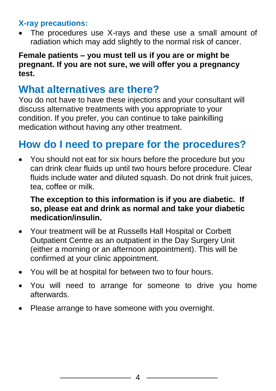#### **X-ray precautions:**

 The procedures use X-rays and these use a small amount of radiation which may add slightly to the normal risk of cancer.

#### **Female patients – you must tell us if you are or might be pregnant. If you are not sure, we will offer you a pregnancy test.**

## **What alternatives are there?**

You do not have to have these injections and your consultant will discuss alternative treatments with you appropriate to your condition. If you prefer, you can continue to take painkilling medication without having any other treatment.

## **How do I need to prepare for the procedures?**

 You should not eat for six hours before the procedure but you can drink clear fluids up until two hours before procedure. Clear fluids include water and diluted squash. Do not drink fruit juices, tea, coffee or milk.

#### **The exception to this information is if you are diabetic. If so, please eat and drink as normal and take your diabetic medication/insulin.**

- Your treatment will be at Russells Hall Hospital or Corbett Outpatient Centre as an outpatient in the Day Surgery Unit (either a morning or an afternoon appointment). This will be confirmed at your clinic appointment.
- You will be at hospital for between two to four hours.
- You will need to arrange for someone to drive you home afterwards.
- Please arrange to have someone with you overnight.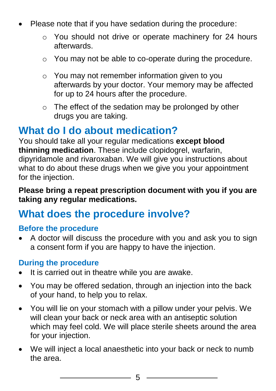- Please note that if you have sedation during the procedure:
	- o You should not drive or operate machinery for 24 hours afterwards.
	- o You may not be able to co-operate during the procedure.
	- o You may not remember information given to you afterwards by your doctor. Your memory may be affected for up to 24 hours after the procedure.
	- o The effect of the sedation may be prolonged by other drugs you are taking.

### **What do I do about medication?**

You should take all your regular medications **except blood thinning medication**. These include clopidogrel, warfarin, dipyridamole and rivaroxaban. We will give you instructions about what to do about these drugs when we give you your appointment for the injection.

#### **Please bring a repeat prescription document with you if you are taking any regular medications.**

### **What does the procedure involve?**

#### **Before the procedure**

 A doctor will discuss the procedure with you and ask you to sign a consent form if you are happy to have the injection.

#### **During the procedure**

- It is carried out in theatre while you are awake.
- You may be offered sedation, through an injection into the back of your hand, to help you to relax.
- You will lie on your stomach with a pillow under your pelvis. We will clean your back or neck area with an antiseptic solution which may feel cold. We will place sterile sheets around the area for your injection.
- We will inject a local anaesthetic into your back or neck to numb the area.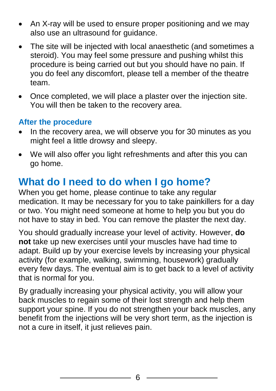- An X-ray will be used to ensure proper positioning and we may also use an ultrasound for guidance.
- The site will be injected with local anaesthetic (and sometimes a steroid). You may feel some pressure and pushing whilst this procedure is being carried out but you should have no pain. If you do feel any discomfort, please tell a member of the theatre team.
- Once completed, we will place a plaster over the injection site. You will then be taken to the recovery area.

#### **After the procedure**

- In the recovery area, we will observe you for 30 minutes as you might feel a little drowsy and sleepy.
- We will also offer you light refreshments and after this you can go home.

## **What do I need to do when I go home?**

When you get home, please continue to take any regular medication. It may be necessary for you to take painkillers for a day or two. You might need someone at home to help you but you do not have to stay in bed. You can remove the plaster the next day.

You should gradually increase your level of activity. However, **do not** take up new exercises until your muscles have had time to adapt. Build up by your exercise levels by increasing your physical activity (for example, walking, swimming, housework) gradually every few days. The eventual aim is to get back to a level of activity that is normal for you.

By gradually increasing your physical activity, you will allow your back muscles to regain some of their lost strength and help them support your spine. If you do not strengthen your back muscles, any benefit from the injections will be very short term, as the injection is not a cure in itself, it just relieves pain.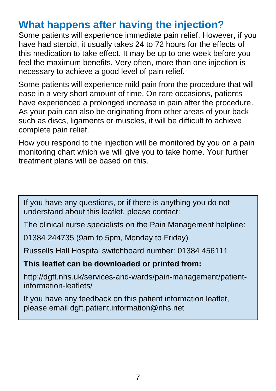## **What happens after having the injection?**

Some patients will experience immediate pain relief. However, if you have had steroid, it usually takes 24 to 72 hours for the effects of this medication to take effect. It may be up to one week before you feel the maximum benefits. Very often, more than one injection is necessary to achieve a good level of pain relief.

Some patients will experience mild pain from the procedure that will ease in a very short amount of time. On rare occasions, patients have experienced a prolonged increase in pain after the procedure. As your pain can also be originating from other areas of your back such as discs, ligaments or muscles, it will be difficult to achieve complete pain relief.

How you respond to the injection will be monitored by you on a pain monitoring chart which we will give you to take home. Your further treatment plans will be based on this.

If you have any questions, or if there is anything you do not understand about this leaflet, please contact:

The clinical nurse specialists on the Pain Management helpline:

01384 244735 (9am to 5pm, Monday to Friday)

Russells Hall Hospital switchboard number: 01384 456111

**This leaflet can be downloaded or printed from:**

http://dgft.nhs.uk/services-and-wards/pain-management/patientinformation-leaflets/

If you have any feedback on this patient information leaflet, please email dgft.patient.information@nhs.net